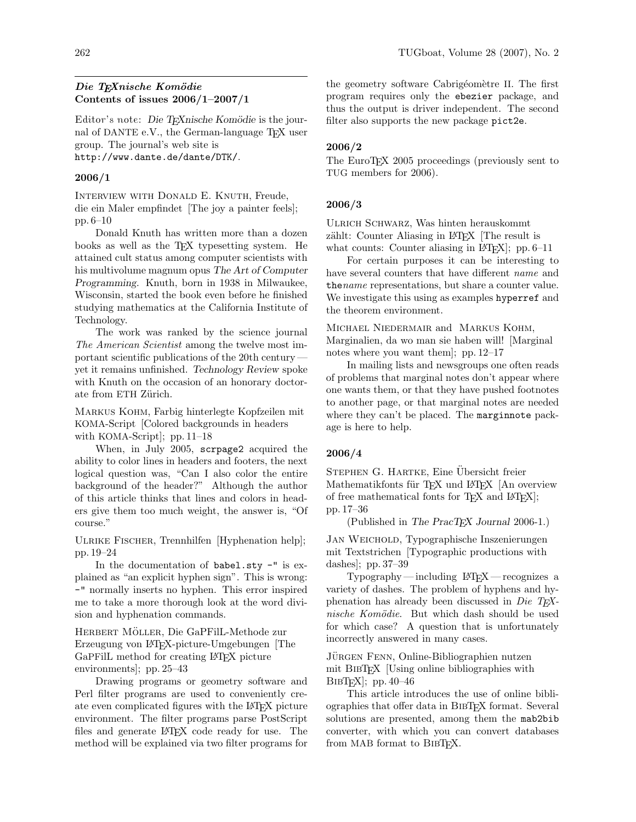# Die T<sub>E</sub>Xnische Komödie Contents of issues 2006/1–2007/1

Editor's note: Die T<sub>E</sub>Xnische Komödie is the journal of DANTE e.V., the German-language TEX user group. The journal's web site is http://www.dante.de/dante/DTK/.

2006/1

Interview with Donald E. Knuth, Freude, die ein Maler empfindet [The joy a painter feels]; pp. 6–10

Donald Knuth has written more than a dozen books as well as the TEX typesetting system. He attained cult status among computer scientists with his multivolume magnum opus The Art of Computer Programming. Knuth, born in 1938 in Milwaukee, Wisconsin, started the book even before he finished studying mathematics at the California Institute of Technology.

The work was ranked by the science journal The American Scientist among the twelve most important scientific publications of the 20th century yet it remains unfinished. Technology Review spoke with Knuth on the occasion of an honorary doctorate from ETH Zürich.

Markus Kohm, Farbig hinterlegte Kopfzeilen mit KOMA-Script [Colored backgrounds in headers with KOMA-Script]; pp. 11–18

When, in July 2005, scrpage2 acquired the ability to color lines in headers and footers, the next logical question was, "Can I also color the entire background of the header?" Although the author of this article thinks that lines and colors in headers give them too much weight, the answer is, "Of course."

ULRIKE FISCHER, Trennhilfen [Hyphenation help]; pp. 19–24

In the documentation of babel.sty -" is explained as "an explicit hyphen sign". This is wrong: -" normally inserts no hyphen. This error inspired me to take a more thorough look at the word division and hyphenation commands.

HERBERT MÖLLER, Die GaPFilL-Methode zur Erzeugung von LATEX-picture-Umgebungen [The GaPFilL method for creating LATEX picture environments]; pp. 25–43

Drawing programs or geometry software and Perl filter programs are used to conveniently create even complicated figures with the LATEX picture environment. The filter programs parse PostScript files and generate LATEX code ready for use. The method will be explained via two filter programs for the geometry software Cabrigéomètre II. The first program requires only the ebezier package, and thus the output is driver independent. The second filter also supports the new package pict2e.

## 2006/2

The EuroT<sub>F</sub>X 2005 proceedings (previously sent to TUG members for 2006).

#### 2006/3

Ulrich Schwarz, Was hinten herauskommt zählt: Counter Aliasing in LAT<sub>EX</sub> The result is what counts: Counter aliasing in  $\text{[ATFX]}$ ; pp. 6–11

For certain purposes it can be interesting to have several counters that have different name and the *name* representations, but share a counter value. We investigate this using as examples hyperref and the theorem environment.

Michael Niedermair and Markus Kohm, Marginalien, da wo man sie haben will! [Marginal notes where you want them]; pp. 12–17

In mailing lists and newsgroups one often reads of problems that marginal notes don't appear where one wants them, or that they have pushed footnotes to another page, or that marginal notes are needed where they can't be placed. The marginnote package is here to help.

#### 2006/4

STEPHEN G. HARTKE, Eine Übersicht freier Mathematikfonts für TEX und L<sup>AT</sup>EX [An overview of free mathematical fonts for TEX and LATEX]; pp. 17–36

(Published in The PracT<sub>EX</sub> Journal 2006-1.)

Jan Weichold, Typographische Inszenierungen mit Textstrichen [Typographic productions with dashes]; pp. 37–39

 $Ty$ pography — including  $LAT$ FX — recognizes a variety of dashes. The problem of hyphens and hyphenation has already been discussed in Die T<sub>E</sub>Xnische Komödie. But which dash should be used for which case? A question that is unfortunately incorrectly answered in many cases.

JÜRGEN FENN, Online-Bibliographien nutzen mit BibTEX [Using online bibliographies with  $BIBTr[X]$ ; pp. 40–46

This article introduces the use of online bibliographies that offer data in BibTEX format. Several solutions are presented, among them the mab2bib converter, with which you can convert databases from MAB format to BIBTFX.